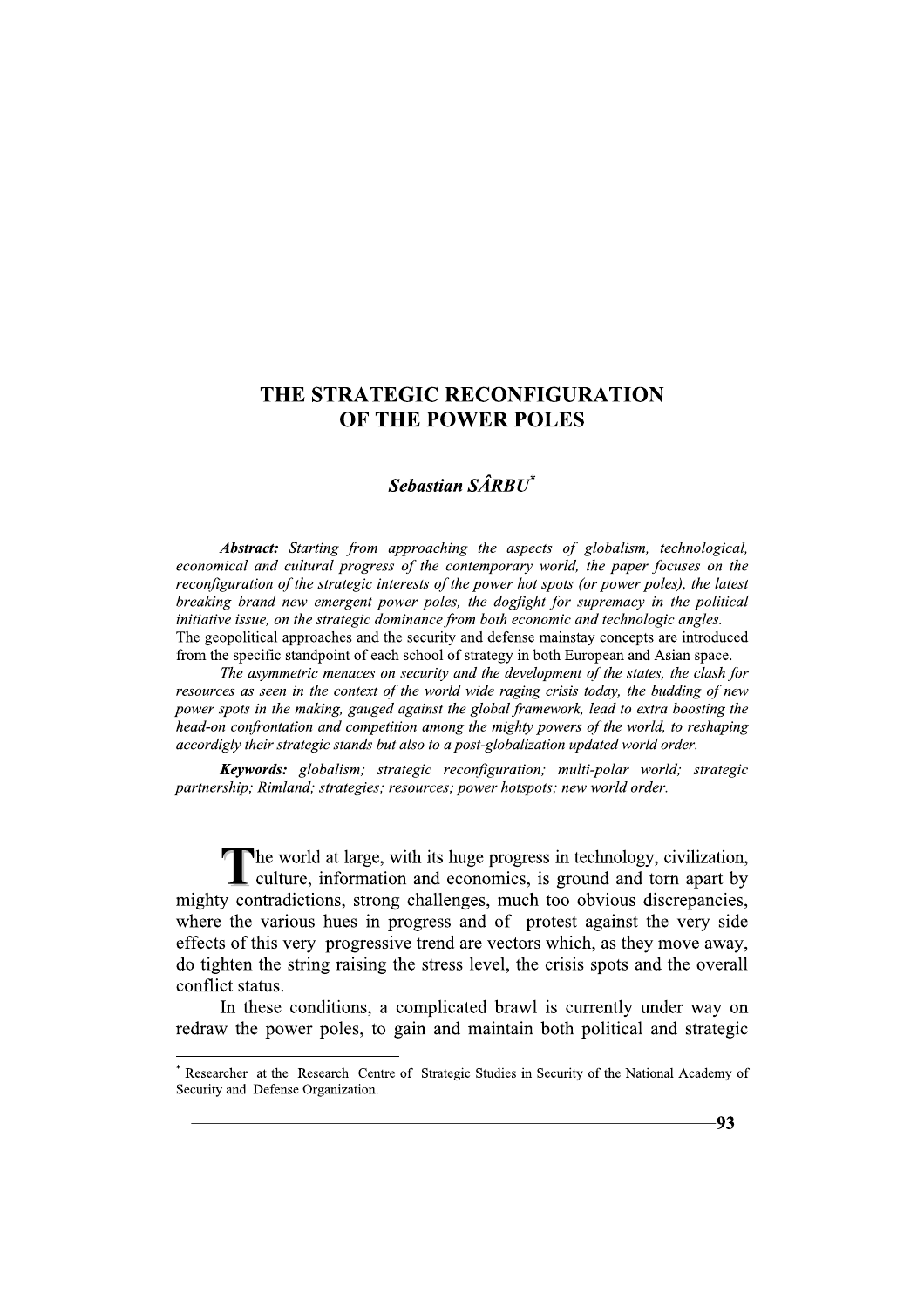# THE STRATEGIC RECONFIGURATION OF THE POWER POLES

# Sebastian SÂRRIT\*

Abstract: Starting from approaching the aspects of globalism, technological, economical and cultural progress of the contemporary world, the paper focuses on the reconfiguration of the strategic interests of the power hot spots (or power poles), the latest breaking brand new emergent power poles, the dogfight for supremacy in the political initiative issue, on the strategic dominance from both economic and technologic angles. The geopolitical approaches and the security and defense mainstay concepts are introduced from the specific standpoint of each school of strategy in both European and Asian space.

The asymmetric menaces on security and the development of the states, the clash for resources as seen in the context of the world wide raging crisis today, the budding of new power spots in the making, gauged against the global framework, lead to extra boosting the head-on confrontation and competition among the mighty powers of the world, to reshaping accordigly their strategic stands but also to a post-globalization updated world order.

Keywords: globalism; strategic reconfiguration; multi-polar world; strategic partnership; Rimland; strategies; resources; power hotspots; new world order.

The world at large, with its huge progress in technology, civilization, culture, information and economics, is ground and torn apart by mighty contradictions, strong challenges, much too obvious discrepancies, where the various hues in progress and of protest against the very side effects of this very progressive trend are vectors which, as they move away, do tighten the string raising the stress level, the crisis spots and the overall conflict status.

In these conditions, a complicated brawl is currently under way on redraw the power poles, to gain and maintain both political and strategic

Researcher at the Research Centre of Strategic Studies in Security of the National Academy of Security and Defense Organization.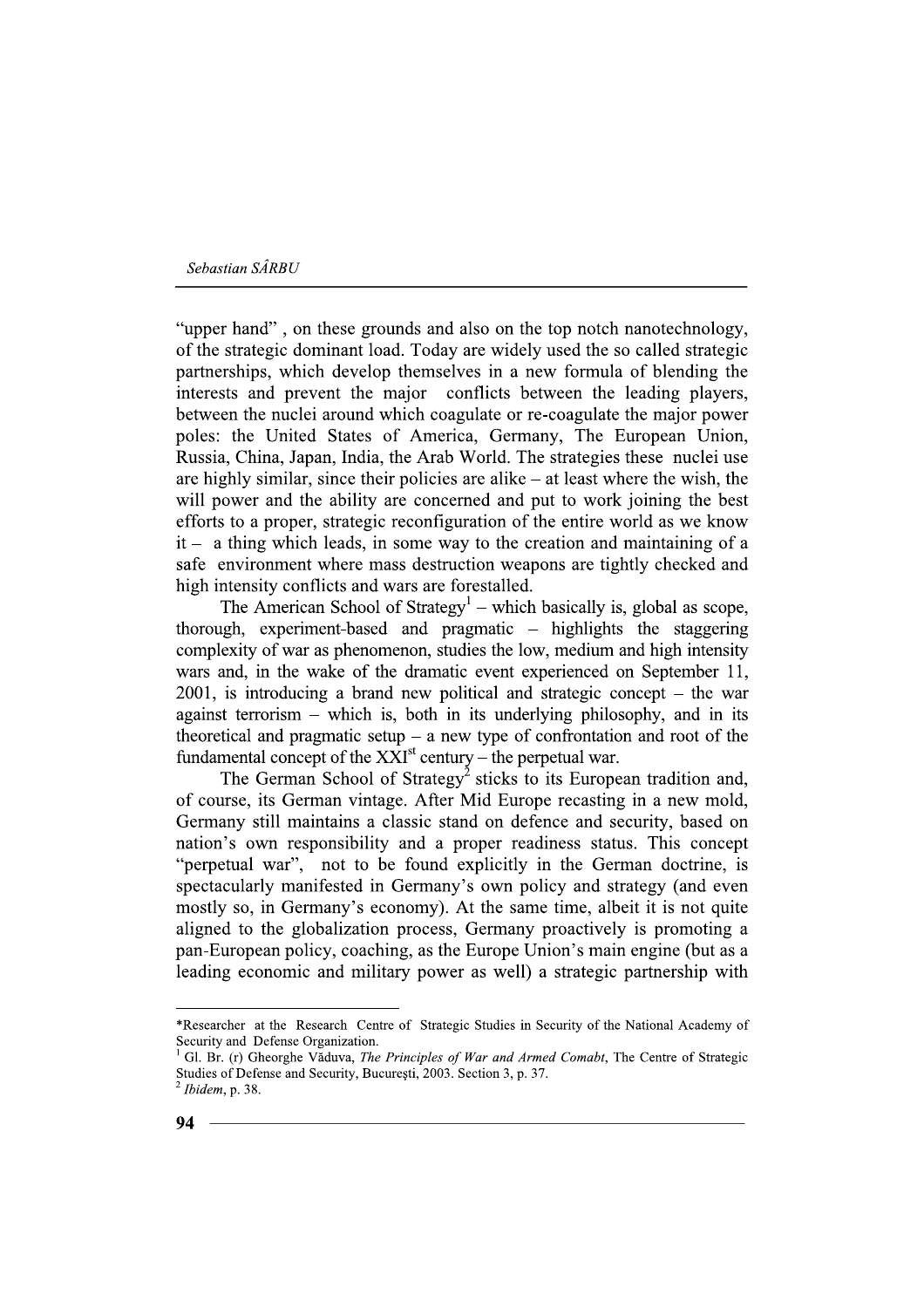"upper hand", on these grounds and also on the top notch nanotechnology, of the strategic dominant load. Today are widely used the so called strategic partnerships, which develop themselves in a new formula of blending the interests and prevent the major conflicts between the leading players, between the nuclei around which coagulate or re-coagulate the major power poles: the United States of America, Germany, The European Union, Russia, China, Japan, India, the Arab World. The strategies these nuclei use are highly similar, since their policies are alike  $-$  at least where the wish, the will power and the ability are concerned and put to work joining the best efforts to a proper, strategic reconfiguration of the entire world as we know  $it - a$  thing which leads, in some way to the creation and maintaining of a safe environment where mass destruction weapons are tightly checked and high intensity conflicts and wars are forestalled.

The American School of Strategy<sup>1</sup> – which basically is, global as scope, thorough, experiment-based and pragmatic - highlights the staggering complexity of war as phenomenon, studies the low, medium and high intensity wars and, in the wake of the dramatic event experienced on September 11,  $2001$ , is introducing a brand new political and strategic concept – the war against terrorism – which is, both in its underlying philosophy, and in its theoretical and pragmatic setup  $-$  a new type of confrontation and root of the fundamental concept of the  $X\hat{X}I^{st}$  century – the perpetual war.

The German School of Strategy<sup>2</sup> sticks to its European tradition and, of course, its German vintage. After Mid Europe recasting in a new mold, Germany still maintains a classic stand on defence and security, based on nation's own responsibility and a proper readiness status. This concept "perpetual war", not to be found explicitly in the German doctrine, is spectacularly manifested in Germany's own policy and strategy (and even mostly so, in Germany's economy). At the same time, albeit it is not quite aligned to the globalization process. Germany proactively is promoting a pan-European policy, coaching, as the Europe Union's main engine (but as a leading economic and military power as well) a strategic partnership with

<sup>\*</sup>Researcher at the Research Centre of Strategic Studies in Security of the National Academy of Security and Defense Organization.

Gl. Br. (r) Gheorghe Văduva, The Principles of War and Armed Comabt, The Centre of Strategic Studies of Defense and Security, București, 2003. Section 3, p. 37.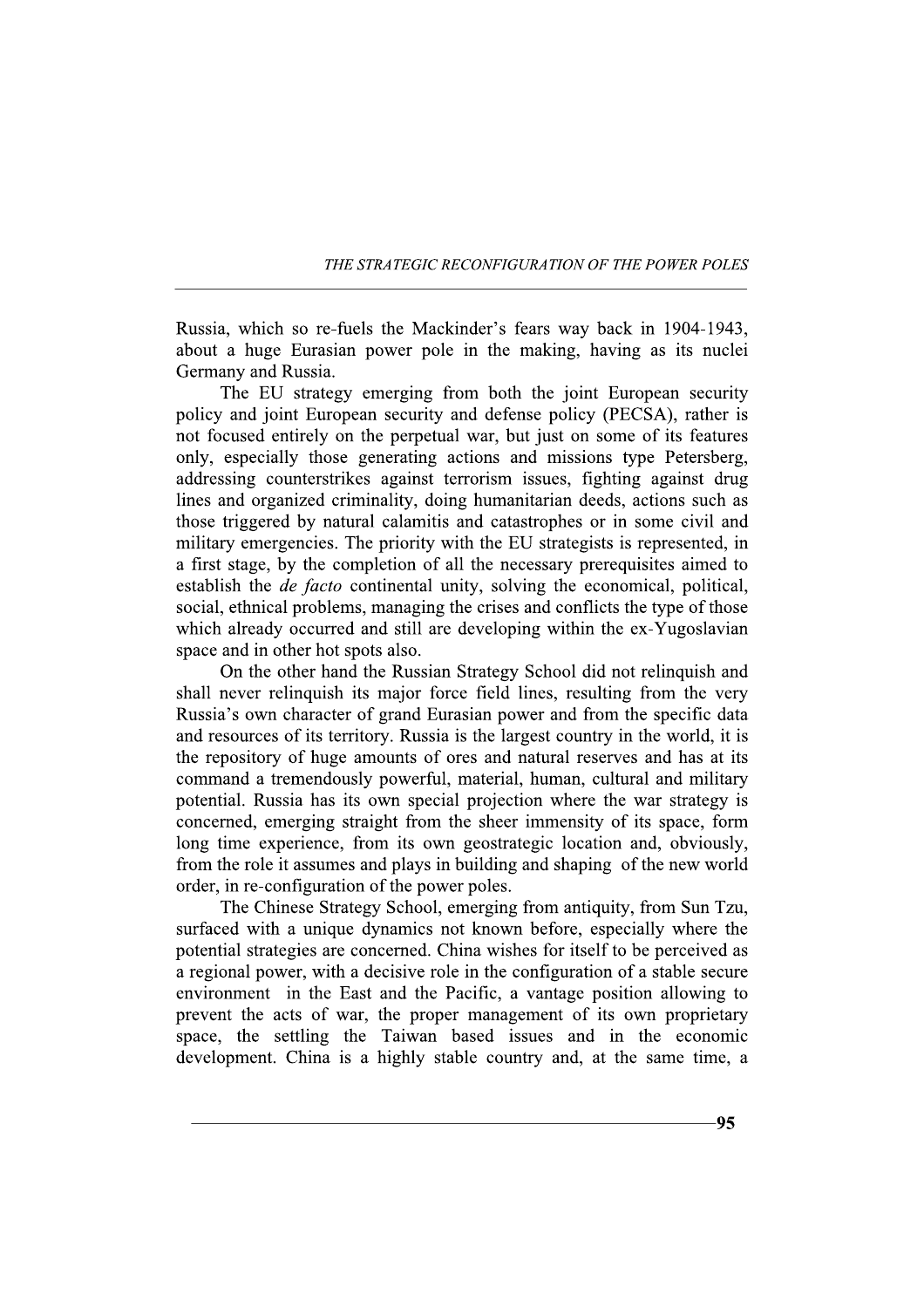THE STRATEGIC RECONFIGURATION OF THE POWER POLES

Russia, which so re-fuels the Mackinder's fears way back in 1904-1943, about a huge Eurasian power pole in the making, having as its nuclei Germany and Russia.

The EU strategy emerging from both the joint European security policy and joint European security and defense policy (PECSA), rather is not focused entirely on the perpetual war, but just on some of its features only, especially those generating actions and missions type Petersberg, addressing counterstrikes against terrorism issues, fighting against drug lines and organized criminality, doing humanitarian deeds, actions such as those triggered by natural calamitis and catastrophes or in some civil and military emergencies. The priority with the EU strategists is represented, in a first stage, by the completion of all the necessary prerequisites aimed to establish the *de facto* continental unity, solving the economical, political, social, ethnical problems, managing the crises and conflicts the type of those which already occurred and still are developing within the ex-Yugoslavian space and in other hot spots also.

On the other hand the Russian Strategy School did not relinguish and shall never relinquish its major force field lines, resulting from the very Russia's own character of grand Eurasian power and from the specific data and resources of its territory. Russia is the largest country in the world, it is the repository of huge amounts of ores and natural reserves and has at its command a tremendously powerful, material, human, cultural and military potential. Russia has its own special projection where the war strategy is concerned, emerging straight from the sheer immensity of its space, form long time experience, from its own geostrategic location and, obviously, from the role it assumes and plays in building and shaping of the new world order, in re-configuration of the power poles.

The Chinese Strategy School, emerging from antiquity, from Sun Tzu, surfaced with a unique dynamics not known before, especially where the potential strategies are concerned. China wishes for itself to be perceived as a regional power, with a decisive role in the configuration of a stable secure environment in the East and the Pacific, a vantage position allowing to prevent the acts of war, the proper management of its own proprietary space, the settling the Taiwan based issues and in the economic development. China is a highly stable country and, at the same time, a

95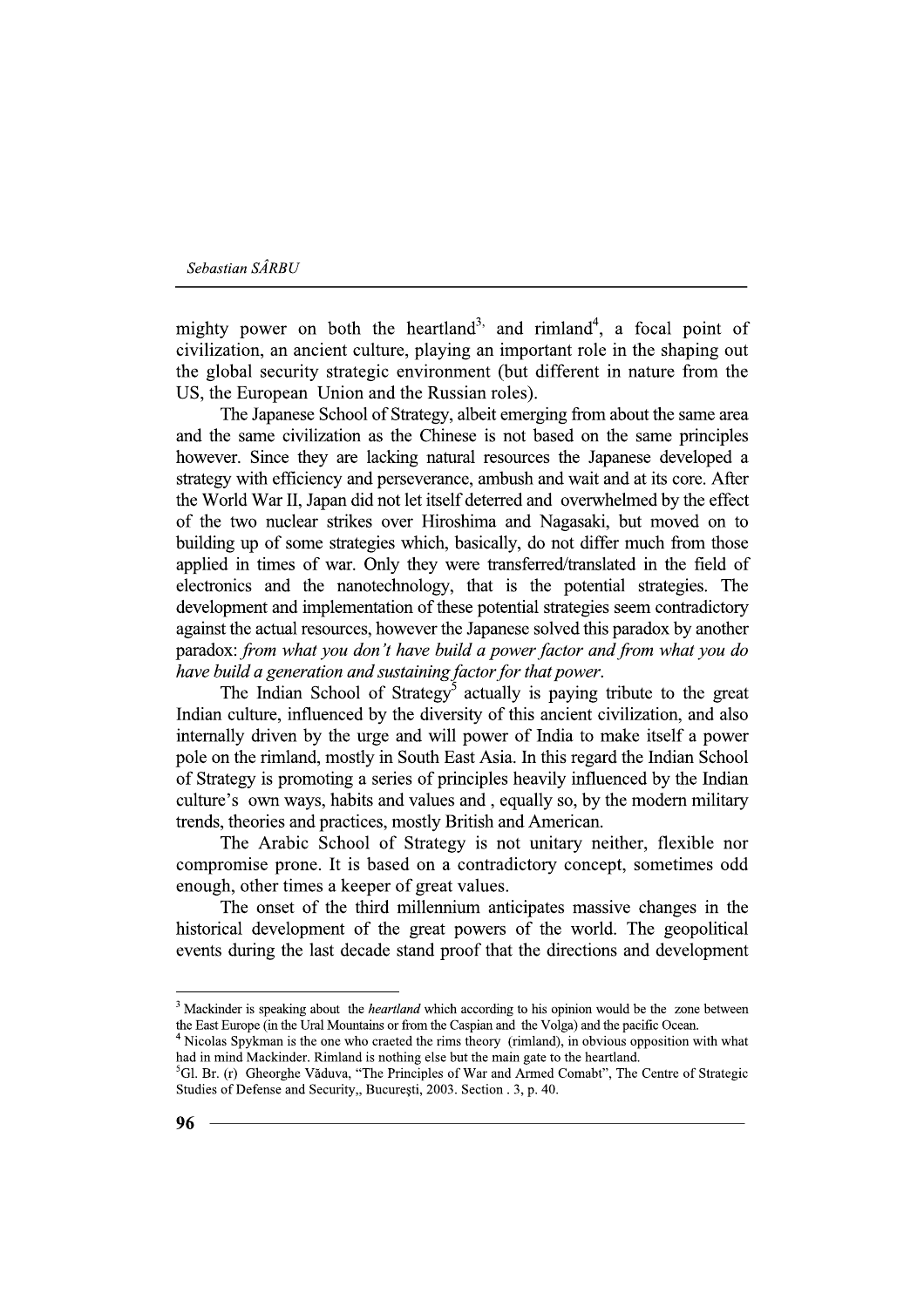mighty power on both the heartland<sup>3,</sup> and rimland<sup>4</sup>, a focal point of civilization, an ancient culture, playing an important role in the shaping out the global security strategic environment (but different in nature from the US, the European Union and the Russian roles).

The Japanese School of Strategy, albeit emerging from about the same area and the same civilization as the Chinese is not based on the same principles however. Since they are lacking natural resources the Japanese developed a strategy with efficiency and perseverance, ambush and wait and at its core. After the World War II, Japan did not let itself deterred and overwhelmed by the effect of the two nuclear strikes over Hiroshima and Nagasaki, but moved on to building up of some strategies which, basically, do not differ much from those applied in times of war. Only they were transferred/translated in the field of electronics and the nanotechnology, that is the potential strategies. The development and implementation of these potential strategies seem contradictory against the actual resources, however the Japanese solved this paradox by another paradox: from what you don't have build a power factor and from what you do have build a generation and sustaining factor for that power.

The Indian School of Strategy<sup>5</sup> actually is paying tribute to the great Indian culture, influenced by the diversity of this ancient civilization, and also internally driven by the urge and will power of India to make itself a power pole on the rimland, mostly in South East Asia. In this regard the Indian School of Strategy is promoting a series of principles heavily influenced by the Indian culture's own ways, habits and values and, equally so, by the modern military trends, theories and practices, mostly British and American.

The Arabic School of Strategy is not unitary neither, flexible nor compromise prone. It is based on a contradictory concept, sometimes odd enough, other times a keeper of great values.

The onset of the third millennium anticipates massive changes in the historical development of the great powers of the world. The geopolitical events during the last decade stand proof that the directions and development

<sup>&</sup>lt;sup>3</sup> Mackinder is speaking about the *heartland* which according to his opinion would be the zone between the East Europe (in the Ural Mountains or from the Caspian and the Volga) and the pacific Ocean.

<sup>&</sup>lt;sup>4</sup> Nicolas Spykman is the one who craeted the rims theory (rimland), in obvious opposition with what had in mind Mackinder. Rimland is nothing else but the main gate to the heartland.

<sup>&</sup>lt;sup>5</sup>Gl. Br. (r) Gheorghe Văduva, "The Principles of War and Armed Comabt", The Centre of Strategic Studies of Defense and Security,, București, 2003. Section . 3, p. 40.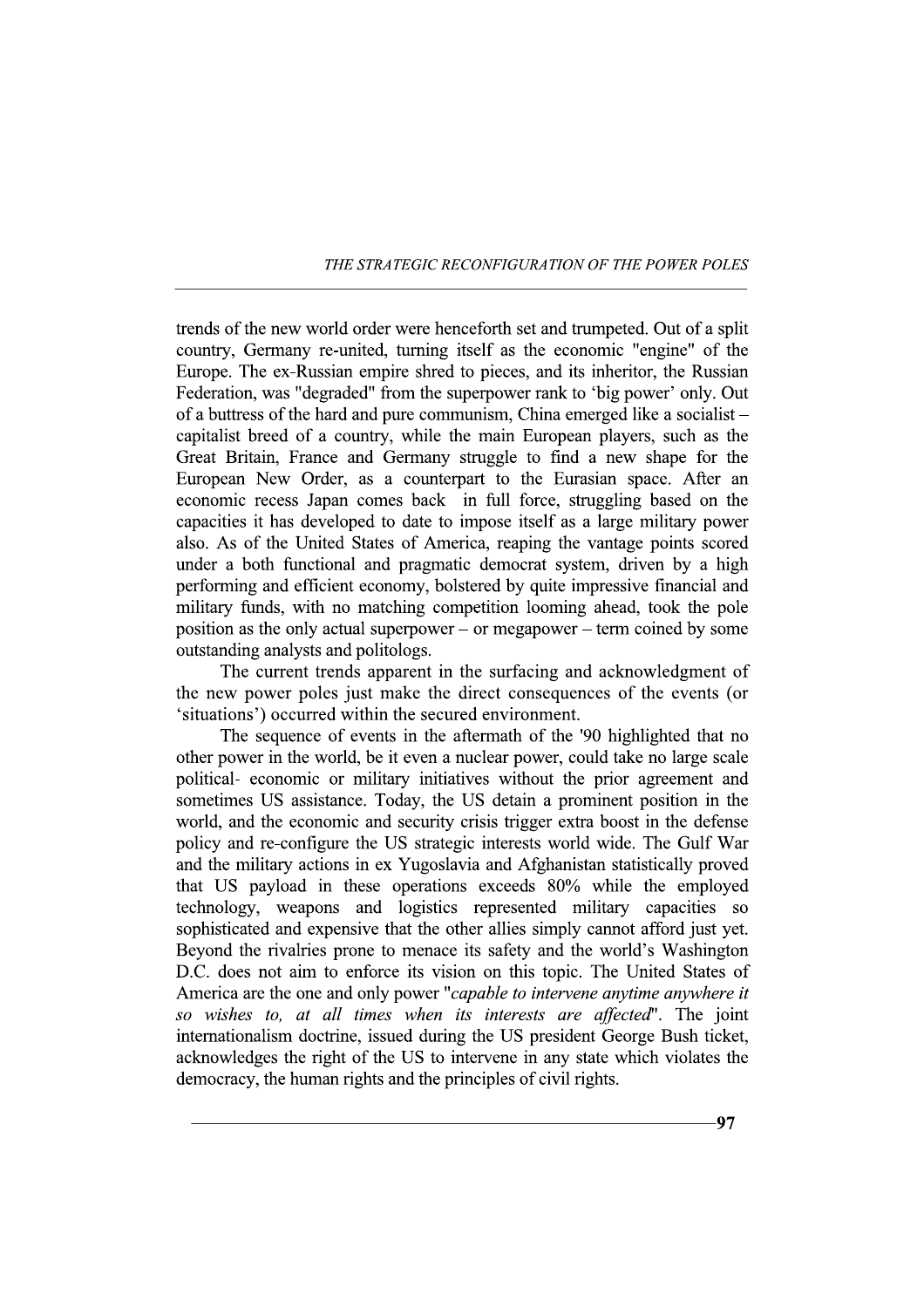### THE STRATEGIC RECONFIGURATION OF THE POWER POLES

trends of the new world order were henceforth set and trumpeted. Out of a split country, Germany re-united, turning itself as the economic "engine" of the Europe. The ex-Russian empire shred to pieces, and its inheritor, the Russian Federation, was "degraded" from the superpower rank to 'big power' only. Out of a buttress of the hard and pure communism, China emerged like a socialist – capitalist breed of a country, while the main European players, such as the Great Britain, France and Germany struggle to find a new shape for the European New Order, as a counterpart to the Eurasian space. After an economic recess Japan comes back in full force, struggling based on the capacities it has developed to date to impose itself as a large military power also. As of the United States of America, reaping the vantage points scored under a both functional and pragmatic democrat system, driven by a high performing and efficient economy, bolstered by quite impressive financial and military funds, with no matching competition looming ahead, took the pole position as the only actual superpower – or megapower – term coined by some outstanding analysts and politologs.

The current trends apparent in the surfacing and acknowledgment of the new power poles just make the direct consequences of the events (or 'situations') occurred within the secured environment.

The sequence of events in the aftermath of the '90 highlighted that no other power in the world, be it even a nuclear power, could take no large scale political- economic or military initiatives without the prior agreement and sometimes US assistance. Today, the US detain a prominent position in the world, and the economic and security crisis trigger extra boost in the defense policy and re-configure the US strategic interests world wide. The Gulf War and the military actions in ex Yugoslavia and Afghanistan statistically proved that US payload in these operations exceeds 80% while the employed technology, weapons and logistics represented military capacities so sophisticated and expensive that the other allies simply cannot afford just yet. Beyond the rivalries prone to menace its safety and the world's Washington D.C. does not aim to enforce its vision on this topic. The United States of America are the one and only power "capable to intervene anytime anywhere it so wishes to, at all times when its interests are affected". The joint internationalism doctrine, issued during the US president George Bush ticket, acknowledges the right of the US to intervene in any state which violates the democracy, the human rights and the principles of civil rights.

 $.97$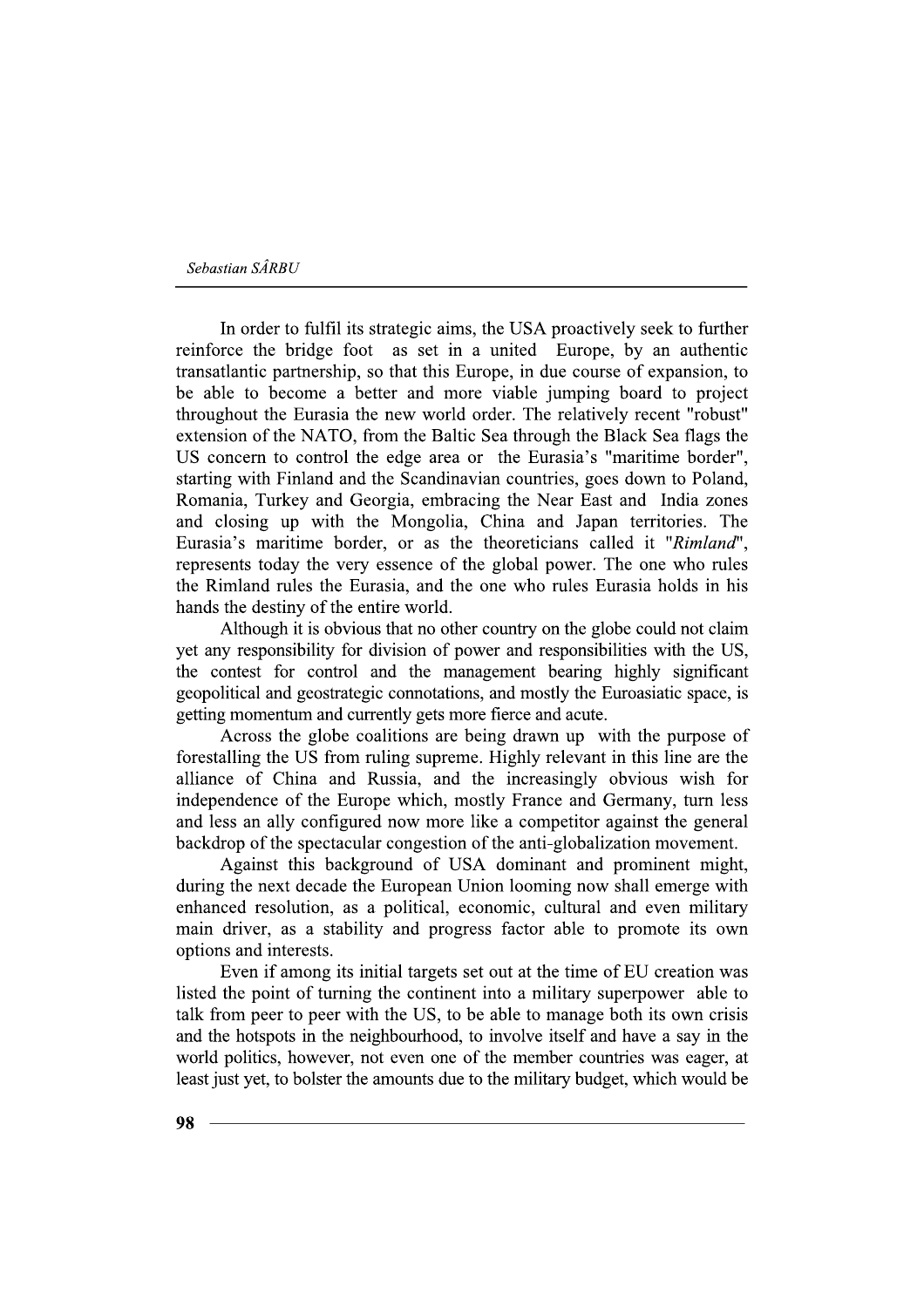In order to fulfil its strategic aims, the USA proactively seek to further reinforce the bridge foot as set in a united Europe, by an authentic transatlantic partnership, so that this Europe, in due course of expansion, to be able to become a better and more viable jumping board to project throughout the Eurasia the new world order. The relatively recent "robust" extension of the NATO, from the Baltic Sea through the Black Sea flags the US concern to control the edge area or the Eurasia's "maritime border", starting with Finland and the Scandinavian countries, goes down to Poland, Romania, Turkey and Georgia, embracing the Near East and India zones and closing up with the Mongolia, China and Japan territories. The Eurasia's maritime border, or as the theoreticians called it "Rimland", represents today the very essence of the global power. The one who rules the Rimland rules the Eurasia, and the one who rules Eurasia holds in his hands the destiny of the entire world.

Although it is obvious that no other country on the globe could not claim yet any responsibility for division of power and responsibilities with the US, the contest for control and the management bearing highly significant geopolitical and geostrategic connotations, and mostly the Euroasiatic space, is getting momentum and currently gets more fierce and acute.

Across the globe coalitions are being drawn up with the purpose of forestalling the US from ruling supreme. Highly relevant in this line are the alliance of China and Russia, and the increasingly obvious wish for independence of the Europe which, mostly France and Germany, turn less and less an ally configured now more like a competitor against the general backdrop of the spectacular congestion of the anti-globalization movement.

Against this background of USA dominant and prominent might, during the next decade the European Union looming now shall emerge with enhanced resolution, as a political, economic, cultural and even military main driver, as a stability and progress factor able to promote its own options and interests.

Even if among its initial targets set out at the time of EU creation was listed the point of turning the continent into a military superpower able to talk from peer to peer with the US, to be able to manage both its own crisis and the hotspots in the neighbourhood, to involve itself and have a say in the world politics, however, not even one of the member countries was eager, at least just yet, to bolster the amounts due to the military budget, which would be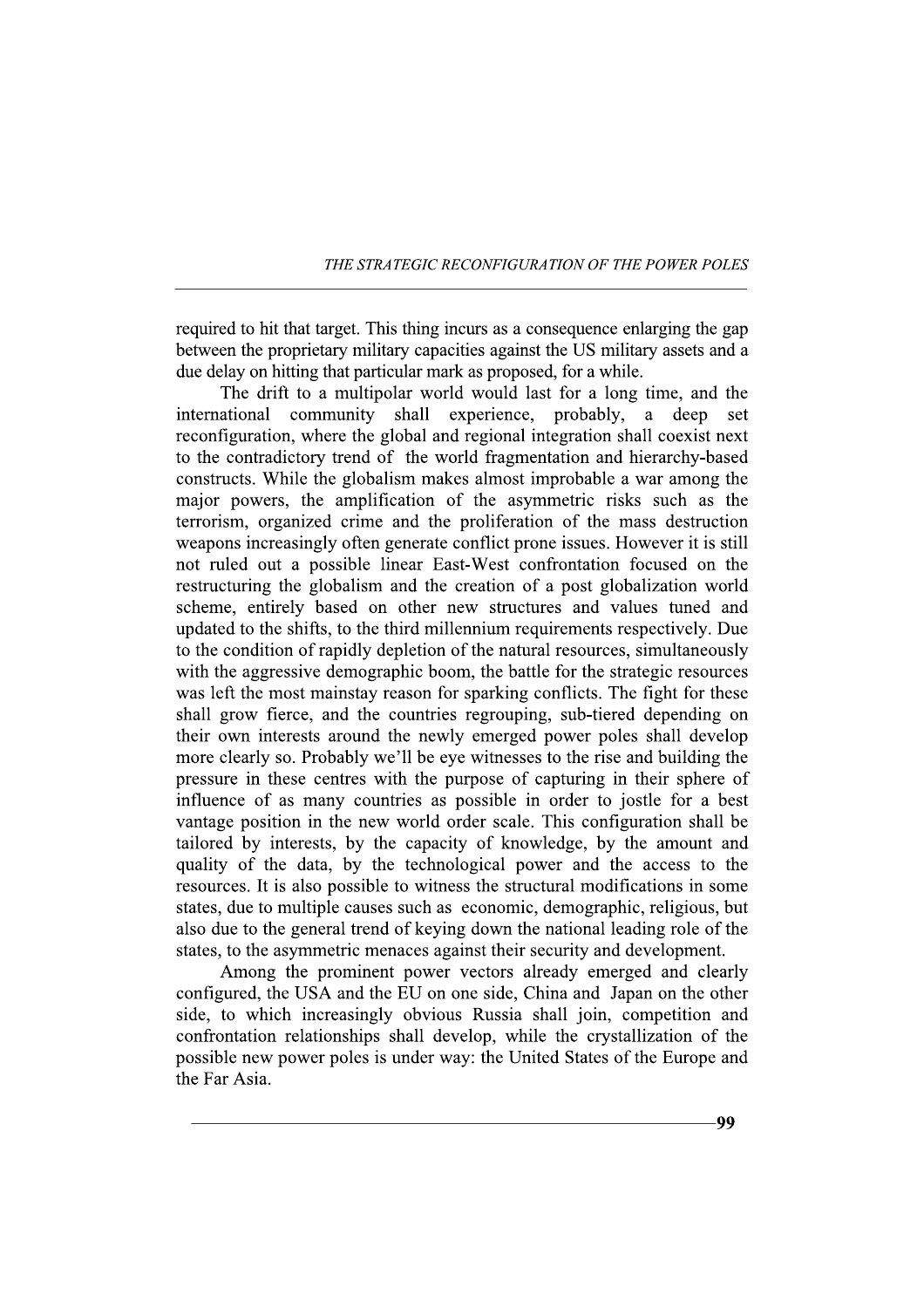THE STRATEGIC RECONFIGURATION OF THE POWER POLES

required to hit that target. This thing incurs as a consequence enlarging the gap between the proprietary military capacities against the US military assets and a due delay on hitting that particular mark as proposed, for a while.

The drift to a multipolar world would last for a long time, and the international community shall experience, probably, a deep set reconfiguration, where the global and regional integration shall coexist next to the contradictory trend of the world fragmentation and hierarchy-based constructs. While the globalism makes almost improbable a war among the major powers, the amplification of the asymmetric risks such as the terrorism, organized crime and the proliferation of the mass destruction weapons increasingly often generate conflict prone issues. However it is still not ruled out a possible linear East-West confrontation focused on the restructuring the globalism and the creation of a post globalization world scheme, entirely based on other new structures and values tuned and updated to the shifts, to the third millennium requirements respectively. Due to the condition of rapidly depletion of the natural resources, simultaneously with the aggressive demographic boom, the battle for the strategic resources was left the most mainstay reason for sparking conflicts. The fight for these shall grow fierce, and the countries regrouping, sub-tiered depending on their own interests around the newly emerged power poles shall develop more clearly so. Probably we'll be eve witnesses to the rise and building the pressure in these centres with the purpose of capturing in their sphere of influence of as many countries as possible in order to jostle for a best vantage position in the new world order scale. This configuration shall be tailored by interests, by the capacity of knowledge, by the amount and quality of the data, by the technological power and the access to the resources. It is also possible to witness the structural modifications in some states, due to multiple causes such as economic, demographic, religious, but also due to the general trend of keying down the national leading role of the states, to the asymmetric menaces against their security and development.

Among the prominent power vectors already emerged and clearly configured, the USA and the EU on one side, China and Japan on the other side, to which increasingly obvious Russia shall join, competition and confrontation relationships shall develop, while the crystallization of the possible new power poles is under way: the United States of the Europe and the Far Asia.

QQ.